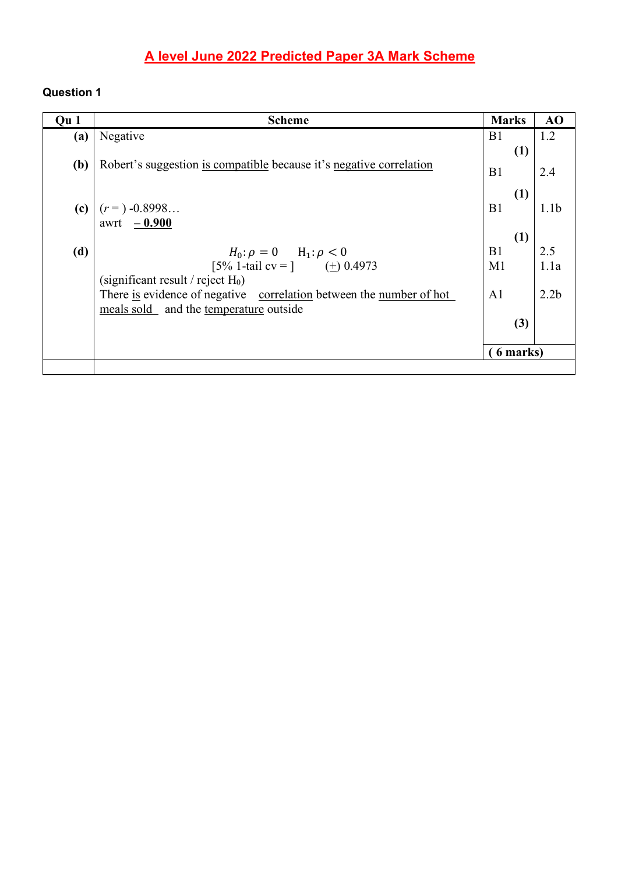# **A level June 2022 Predicted Paper 3A Mark Scheme**

| Qu 1         | <b>Scheme</b>                                                                                                 | <b>Marks</b>    | AO               |
|--------------|---------------------------------------------------------------------------------------------------------------|-----------------|------------------|
| (a)          | Negative                                                                                                      | B1              | 1.2              |
| ( <b>b</b> ) | Robert's suggestion is compatible because it's negative correlation                                           | (1)<br>B1       | 2.4              |
|              | (c) $\begin{array}{ l} (r=) -0.8998 \text{ awrt } = 0.900 \end{array}$                                        | (1)<br>B1       | 1.1 <sub>b</sub> |
| (d)          | $H_0: \rho = 0$ $H_1: \rho < 0$<br>[5% 1-tail cv = ] (+) 0.4973<br>(significant result / reject $H_0$ )       | (1)<br>B1<br>M1 | 2.5<br>1.1a      |
|              | There is evidence of negative correlation between the number of hot<br>meals sold and the temperature outside | A1              | 2.2 <sub>b</sub> |
|              |                                                                                                               | (3)             |                  |
|              |                                                                                                               | 6 marks)        |                  |
|              |                                                                                                               |                 |                  |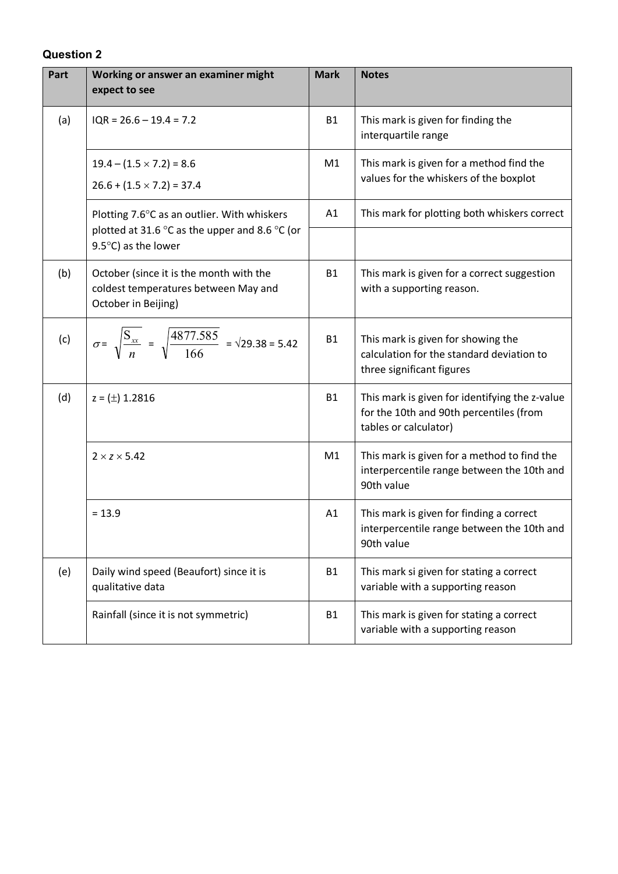| Part | Working or answer an examiner might<br>expect to see                                                                                   | <b>Mark</b> | <b>Notes</b>                                                                                                       |
|------|----------------------------------------------------------------------------------------------------------------------------------------|-------------|--------------------------------------------------------------------------------------------------------------------|
| (a)  | $IQR = 26.6 - 19.4 = 7.2$                                                                                                              | <b>B1</b>   | This mark is given for finding the<br>interquartile range                                                          |
|      | $19.4 - (1.5 \times 7.2) = 8.6$<br>$26.6 + (1.5 \times 7.2) = 37.4$                                                                    | M1          | This mark is given for a method find the<br>values for the whiskers of the boxplot                                 |
|      | Plotting 7.6°C as an outlier. With whiskers<br>plotted at 31.6 $\degree$ C as the upper and 8.6 $\degree$ C (or<br>9.5°C) as the lower | A1          | This mark for plotting both whiskers correct                                                                       |
| (b)  | October (since it is the month with the<br>coldest temperatures between May and<br>October in Beijing)                                 | <b>B1</b>   | This mark is given for a correct suggestion<br>with a supporting reason.                                           |
| (c)  | $\sigma = \sqrt{\frac{S_{xx}}{n}} = \sqrt{\frac{4877.585}{166}} = \sqrt{29.38} = 5.42$                                                 | <b>B1</b>   | This mark is given for showing the<br>calculation for the standard deviation to<br>three significant figures       |
| (d)  | $z = (\pm)$ 1.2816                                                                                                                     | <b>B1</b>   | This mark is given for identifying the z-value<br>for the 10th and 90th percentiles (from<br>tables or calculator) |
|      | $2 \times z \times 5.42$                                                                                                               | M1          | This mark is given for a method to find the<br>interpercentile range between the 10th and<br>90th value            |
|      | $= 13.9$                                                                                                                               | A1          | This mark is given for finding a correct<br>interpercentile range between the 10th and<br>90th value               |
| (e)  | Daily wind speed (Beaufort) since it is<br>qualitative data                                                                            | <b>B1</b>   | This mark si given for stating a correct<br>variable with a supporting reason                                      |
|      | Rainfall (since it is not symmetric)                                                                                                   | <b>B1</b>   | This mark is given for stating a correct<br>variable with a supporting reason                                      |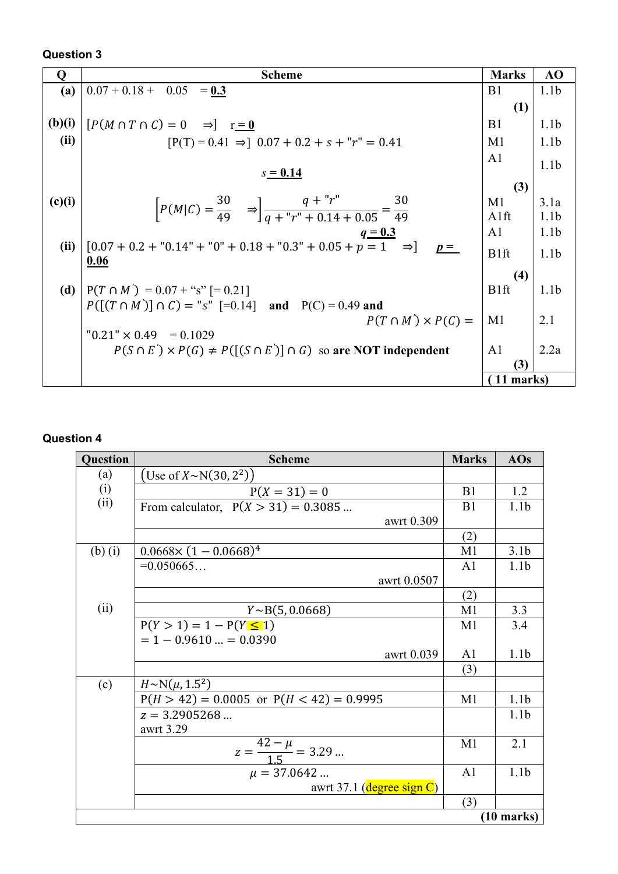**Question 3**

| Q      | <b>Scheme</b>                                                                                             | <b>Marks</b>      | AO               |
|--------|-----------------------------------------------------------------------------------------------------------|-------------------|------------------|
| (a)    | $0.07 + 0.18 + 0.05 = 0.3$                                                                                | B1                | 1.1 <sub>b</sub> |
|        |                                                                                                           | (1)               |                  |
| (b)(i) | $[P(M \cap T \cap C) = 0 \Rightarrow]$ $r = 0$                                                            | B1                | 1.1 <sub>b</sub> |
| (ii)   | $[P(T) = 0.41 \Rightarrow] 0.07 + 0.2 + s + "r" = 0.41$                                                   | M <sub>1</sub>    | 1.1 <sub>b</sub> |
|        | $s = 0.14$                                                                                                | A <sub>1</sub>    | 1.1 <sub>b</sub> |
|        |                                                                                                           | (3)               |                  |
| (c)(i) |                                                                                                           | M <sub>1</sub>    | 3.1a             |
|        | $\left[ P(M C) = \frac{30}{49} \right] \Rightarrow \frac{q + "r"}{q + "r" + 0.14 + 0.05} = \frac{30}{49}$ | Alft              | 1.1 <sub>b</sub> |
|        | $q = 0.3$                                                                                                 | A <sub>1</sub>    | 1.1 <sub>b</sub> |
| (ii)   | $[0.07 + 0.2 + "0.14" + "0" + 0.18 + "0.3" + 0.05 + p = 1 \Rightarrow]$<br>$p =$<br>0.06                  | B <sub>1</sub> ft | 1.1 <sub>b</sub> |
|        |                                                                                                           | (4)               |                  |
| (d)    | $P(T \cap M') = 0.07 +$ "s" [= 0.21]                                                                      | B <sub>1ft</sub>  | 1.1 <sub>b</sub> |
|        | $P([ (T \cap M')] \cap C) = "s" [-0.14]$ and $P(C) = 0.49$ and                                            |                   |                  |
|        | $P(T \cap M') \times P(C) =$                                                                              | M1                | 2.1              |
|        | $"0.21" \times 0.49 = 0.1029$                                                                             |                   |                  |
|        | $P(S \cap E') \times P(G) \neq P([S \cap E')] \cap G$ so are NOT independent                              | A <sub>1</sub>    | 2.2a             |
|        |                                                                                                           | (3)               |                  |
|        |                                                                                                           | 11 marks)         |                  |

| Question    | <b>Scheme</b>                                | <b>Marks</b>   | <b>AOs</b>           |
|-------------|----------------------------------------------|----------------|----------------------|
| (a)         | Use of $X \sim N(30, 2^2)$                   |                |                      |
| (i)         | $P(X = 31) = 0$                              | B1             | 1.2                  |
| (ii)        | From calculator, $P(X > 31) = 0.3085$        | B1             | 1.1 <sub>b</sub>     |
|             | awrt 0.309                                   |                |                      |
|             |                                              | (2)            |                      |
| $(b)$ $(i)$ | $0.0668 \times (1 - 0.0668)^4$               | M1             | 3.1 <sub>b</sub>     |
|             | $=0.050665$                                  | A <sub>1</sub> | 1.1 <sub>b</sub>     |
|             | awrt 0.0507                                  |                |                      |
|             |                                              | (2)            |                      |
| (ii)        | $Y \sim B(5, 0.0668)$                        | M1             | 3.3                  |
|             | $P(Y > 1) = 1 - P(Y \le 1)$                  | M1             | 3.4                  |
|             | $= 1 - 0.9610  = 0.0390$                     |                |                      |
|             | awrt 0.039                                   | A <sub>1</sub> | 1.1 <sub>b</sub>     |
|             |                                              | (3)            |                      |
| (c)         | $H \sim N(\mu, 1.5^2)$                       |                |                      |
|             | $P(H > 42) = 0.0005$ or $P(H < 42) = 0.9995$ | M <sub>1</sub> | 1.1 <sub>b</sub>     |
|             | $z = 3.2905268$                              |                | 1.1 <sub>b</sub>     |
|             | awrt 3.29                                    |                |                      |
|             | $z = \frac{42 - \mu}{1.5} = 3.29 $           | M1             | 2.1                  |
|             | $\mu = 37.0642$                              | A <sub>1</sub> | 1.1 <sub>b</sub>     |
|             | awrt 37.1 ( $degree$ sign C)                 |                |                      |
|             |                                              | (3)            |                      |
|             |                                              |                | $(10 \text{ marks})$ |